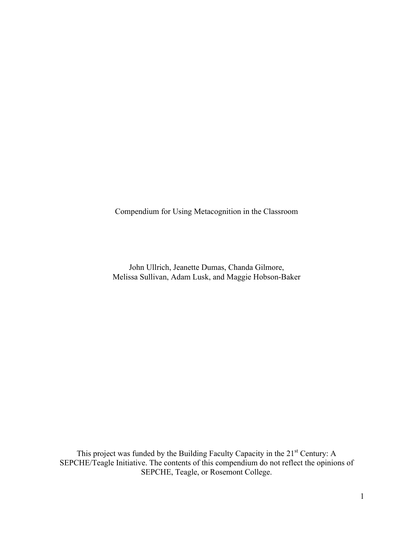Compendium for Using Metacognition in the Classroom

John Ullrich, Jeanette Dumas, Chanda Gilmore, Melissa Sullivan, Adam Lusk, and Maggie Hobson-Baker

This project was funded by the Building Faculty Capacity in the 21<sup>st</sup> Century: A SEPCHE/Teagle Initiative. The contents of this compendium do not reflect the opinions of SEPCHE, Teagle, or Rosemont College.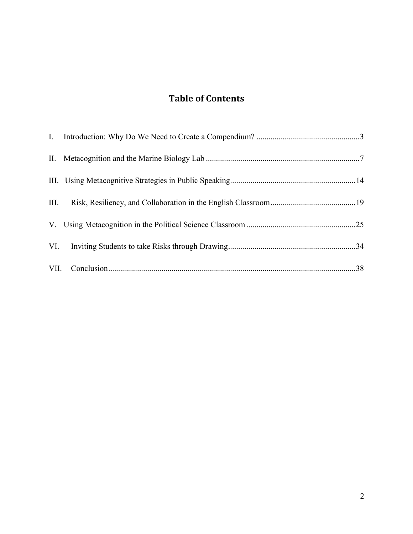# **Table of Contents**

| III. |  |
|------|--|
|      |  |
| VI.  |  |
|      |  |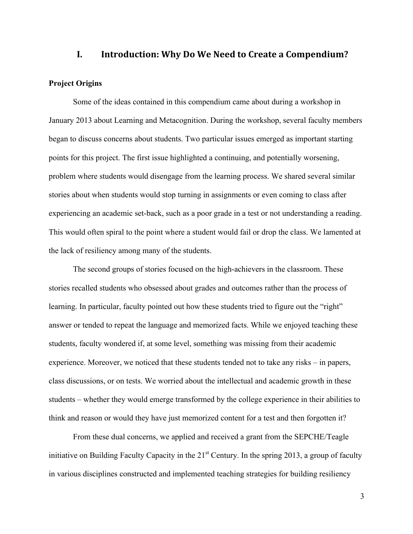# **I.** Introduction: Why Do We Need to Create a Compendium?

### **Project Origins**

Some of the ideas contained in this compendium came about during a workshop in January 2013 about Learning and Metacognition. During the workshop, several faculty members began to discuss concerns about students. Two particular issues emerged as important starting points for this project. The first issue highlighted a continuing, and potentially worsening, problem where students would disengage from the learning process. We shared several similar stories about when students would stop turning in assignments or even coming to class after experiencing an academic set-back, such as a poor grade in a test or not understanding a reading. This would often spiral to the point where a student would fail or drop the class. We lamented at the lack of resiliency among many of the students.

The second groups of stories focused on the high-achievers in the classroom. These stories recalled students who obsessed about grades and outcomes rather than the process of learning. In particular, faculty pointed out how these students tried to figure out the "right" answer or tended to repeat the language and memorized facts. While we enjoyed teaching these students, faculty wondered if, at some level, something was missing from their academic experience. Moreover, we noticed that these students tended not to take any risks – in papers, class discussions, or on tests. We worried about the intellectual and academic growth in these students – whether they would emerge transformed by the college experience in their abilities to think and reason or would they have just memorized content for a test and then forgotten it?

From these dual concerns, we applied and received a grant from the SEPCHE/Teagle initiative on Building Faculty Capacity in the  $21<sup>st</sup>$  Century. In the spring 2013, a group of faculty in various disciplines constructed and implemented teaching strategies for building resiliency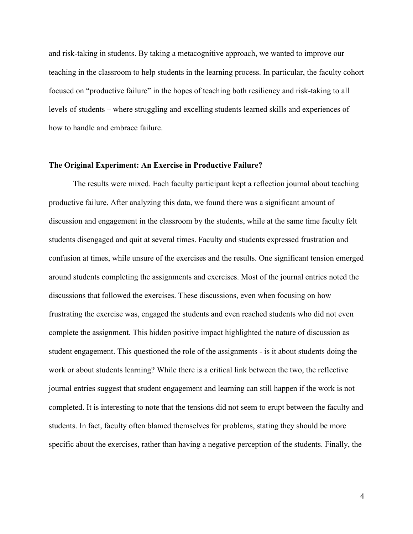and risk-taking in students. By taking a metacognitive approach, we wanted to improve our teaching in the classroom to help students in the learning process. In particular, the faculty cohort focused on "productive failure" in the hopes of teaching both resiliency and risk-taking to all levels of students – where struggling and excelling students learned skills and experiences of how to handle and embrace failure.

#### **The Original Experiment: An Exercise in Productive Failure?**

The results were mixed. Each faculty participant kept a reflection journal about teaching productive failure. After analyzing this data, we found there was a significant amount of discussion and engagement in the classroom by the students, while at the same time faculty felt students disengaged and quit at several times. Faculty and students expressed frustration and confusion at times, while unsure of the exercises and the results. One significant tension emerged around students completing the assignments and exercises. Most of the journal entries noted the discussions that followed the exercises. These discussions, even when focusing on how frustrating the exercise was, engaged the students and even reached students who did not even complete the assignment. This hidden positive impact highlighted the nature of discussion as student engagement. This questioned the role of the assignments - is it about students doing the work or about students learning? While there is a critical link between the two, the reflective journal entries suggest that student engagement and learning can still happen if the work is not completed. It is interesting to note that the tensions did not seem to erupt between the faculty and students. In fact, faculty often blamed themselves for problems, stating they should be more specific about the exercises, rather than having a negative perception of the students. Finally, the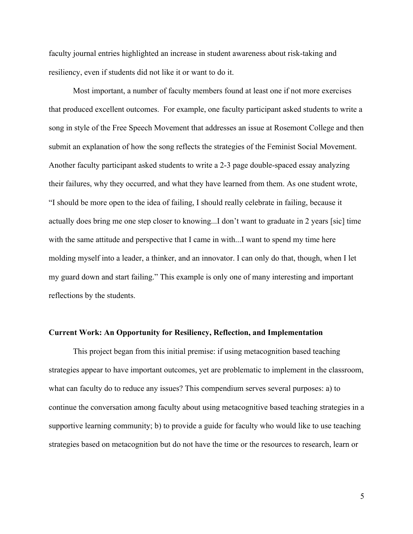faculty journal entries highlighted an increase in student awareness about risk-taking and resiliency, even if students did not like it or want to do it.

Most important, a number of faculty members found at least one if not more exercises that produced excellent outcomes. For example, one faculty participant asked students to write a song in style of the Free Speech Movement that addresses an issue at Rosemont College and then submit an explanation of how the song reflects the strategies of the Feminist Social Movement. Another faculty participant asked students to write a 2-3 page double-spaced essay analyzing their failures, why they occurred, and what they have learned from them. As one student wrote, "I should be more open to the idea of failing, I should really celebrate in failing, because it actually does bring me one step closer to knowing...I don't want to graduate in 2 years [sic] time with the same attitude and perspective that I came in with...I want to spend my time here molding myself into a leader, a thinker, and an innovator. I can only do that, though, when I let my guard down and start failing." This example is only one of many interesting and important reflections by the students.

#### **Current Work: An Opportunity for Resiliency, Reflection, and Implementation**

This project began from this initial premise: if using metacognition based teaching strategies appear to have important outcomes, yet are problematic to implement in the classroom, what can faculty do to reduce any issues? This compendium serves several purposes: a) to continue the conversation among faculty about using metacognitive based teaching strategies in a supportive learning community; b) to provide a guide for faculty who would like to use teaching strategies based on metacognition but do not have the time or the resources to research, learn or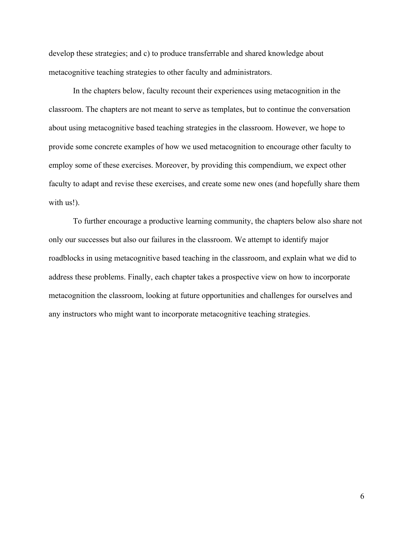develop these strategies; and c) to produce transferrable and shared knowledge about metacognitive teaching strategies to other faculty and administrators.

In the chapters below, faculty recount their experiences using metacognition in the classroom. The chapters are not meant to serve as templates, but to continue the conversation about using metacognitive based teaching strategies in the classroom. However, we hope to provide some concrete examples of how we used metacognition to encourage other faculty to employ some of these exercises. Moreover, by providing this compendium, we expect other faculty to adapt and revise these exercises, and create some new ones (and hopefully share them with us!).

To further encourage a productive learning community, the chapters below also share not only our successes but also our failures in the classroom. We attempt to identify major roadblocks in using metacognitive based teaching in the classroom, and explain what we did to address these problems. Finally, each chapter takes a prospective view on how to incorporate metacognition the classroom, looking at future opportunities and challenges for ourselves and any instructors who might want to incorporate metacognitive teaching strategies.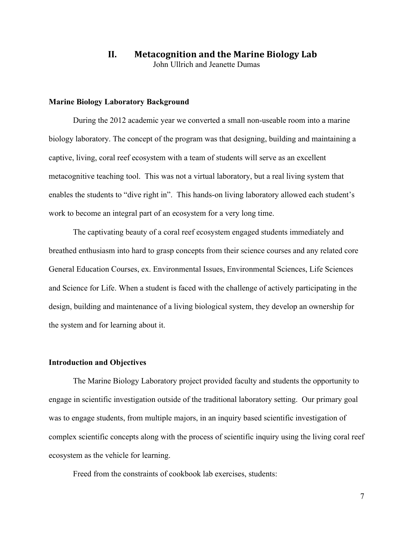# **II.** Metacognition and the Marine Biology Lab John Ullrich and Jeanette Dumas

#### **Marine Biology Laboratory Background**

During the 2012 academic year we converted a small non-useable room into a marine biology laboratory. The concept of the program was that designing, building and maintaining a captive, living, coral reef ecosystem with a team of students will serve as an excellent metacognitive teaching tool. This was not a virtual laboratory, but a real living system that enables the students to "dive right in". This hands-on living laboratory allowed each student's work to become an integral part of an ecosystem for a very long time.

The captivating beauty of a coral reef ecosystem engaged students immediately and breathed enthusiasm into hard to grasp concepts from their science courses and any related core General Education Courses, ex. Environmental Issues, Environmental Sciences, Life Sciences and Science for Life. When a student is faced with the challenge of actively participating in the design, building and maintenance of a living biological system, they develop an ownership for the system and for learning about it.

#### **Introduction and Objectives**

The Marine Biology Laboratory project provided faculty and students the opportunity to engage in scientific investigation outside of the traditional laboratory setting. Our primary goal was to engage students, from multiple majors, in an inquiry based scientific investigation of complex scientific concepts along with the process of scientific inquiry using the living coral reef ecosystem as the vehicle for learning.

Freed from the constraints of cookbook lab exercises, students: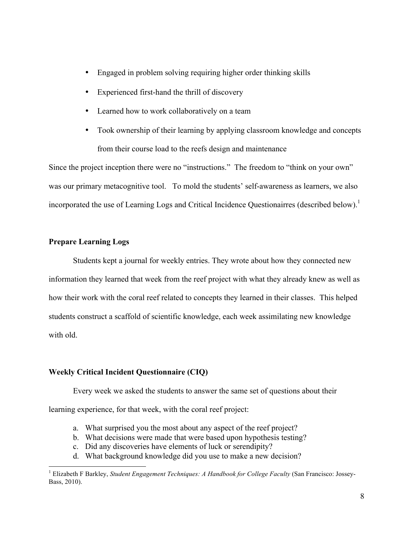- Engaged in problem solving requiring higher order thinking skills
- Experienced first-hand the thrill of discovery
- Learned how to work collaboratively on a team
- Took ownership of their learning by applying classroom knowledge and concepts from their course load to the reefs design and maintenance

Since the project inception there were no "instructions." The freedom to "think on your own" was our primary metacognitive tool. To mold the students' self-awareness as learners, we also incorporated the use of Learning Logs and Critical Incidence Questionairres (described below). 1

# **Prepare Learning Logs**

Students kept a journal for weekly entries. They wrote about how they connected new information they learned that week from the reef project with what they already knew as well as how their work with the coral reef related to concepts they learned in their classes. This helped students construct a scaffold of scientific knowledge, each week assimilating new knowledge with old.

#### **Weekly Critical Incident Questionnaire (CIQ)**

Every week we asked the students to answer the same set of questions about their

learning experience, for that week, with the coral reef project:

- a. What surprised you the most about any aspect of the reef project?
- b. What decisions were made that were based upon hypothesis testing?
- c. Did any discoveries have elements of luck or serendipity?
- d. What background knowledge did you use to make a new decision?

<sup>&</sup>lt;sup>1</sup> Elizabeth F Barkley, *Student Engagement Techniques: A Handbook for College Faculty* (San Francisco: Jossey-Bass, 2010).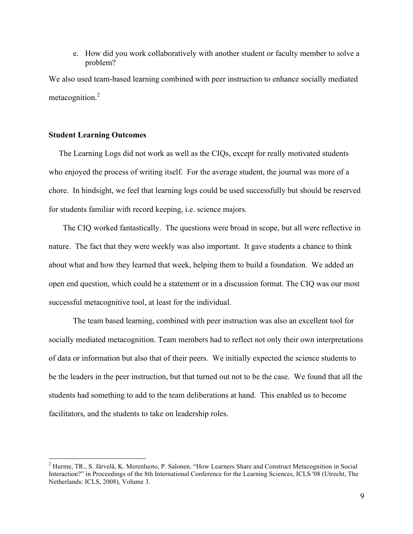e. How did you work collaboratively with another student or faculty member to solve a problem?

We also used team-based learning combined with peer instruction to enhance socially mediated metacognition.<sup>2</sup>

### **Student Learning Outcomes**

 The Learning Logs did not work as well as the CIQs, except for really motivated students who enjoyed the process of writing itself. For the average student, the journal was more of a chore. In hindsight, we feel that learning logs could be used successfully but should be reserved for students familiar with record keeping, i.e. science majors.

 The CIQ worked fantastically. The questions were broad in scope, but all were reflective in nature. The fact that they were weekly was also important. It gave students a chance to think about what and how they learned that week, helping them to build a foundation. We added an open end question, which could be a statement or in a discussion format. The CIQ was our most successful metacognitive tool, at least for the individual.

The team based learning, combined with peer instruction was also an excellent tool for socially mediated metacognition. Team members had to reflect not only their own interpretations of data or information but also that of their peers. We initially expected the science students to be the leaders in the peer instruction, but that turned out not to be the case. We found that all the students had something to add to the team deliberations at hand. This enabled us to become facilitators, and the students to take on leadership roles.

 <sup>2</sup> Hurme, TR., S. Järvelä, K. Merenluoto, P. Salonen. "How Learners Share and Construct Metacognition in Social Interaction?" in Proceedings of the 8th International Conference for the Learning Sciences, ICLS '08 (Utrecht, The Netherlands: ICLS, 2008), Volume 3.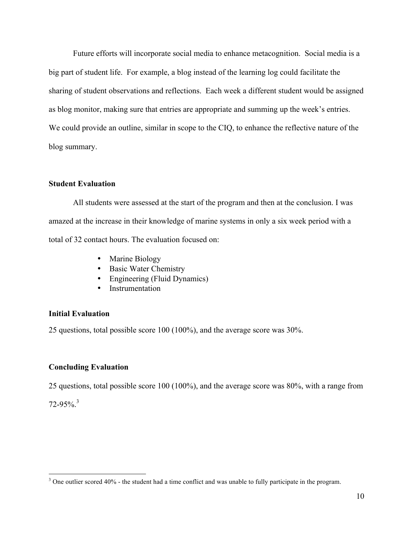Future efforts will incorporate social media to enhance metacognition. Social media is a big part of student life. For example, a blog instead of the learning log could facilitate the sharing of student observations and reflections. Each week a different student would be assigned as blog monitor, making sure that entries are appropriate and summing up the week's entries. We could provide an outline, similar in scope to the CIQ, to enhance the reflective nature of the blog summary.

#### **Student Evaluation**

All students were assessed at the start of the program and then at the conclusion. I was amazed at the increase in their knowledge of marine systems in only a six week period with a total of 32 contact hours. The evaluation focused on:

- Marine Biology
- Basic Water Chemistry
- Engineering (Fluid Dynamics)
- Instrumentation

#### **Initial Evaluation**

25 questions, total possible score 100 (100%), and the average score was 30%.

### **Concluding Evaluation**

25 questions, total possible score 100 (100%), and the average score was 80%, with a range from

72-95%. 3

<sup>&</sup>lt;sup>3</sup> One outlier scored 40% - the student had a time conflict and was unable to fully participate in the program.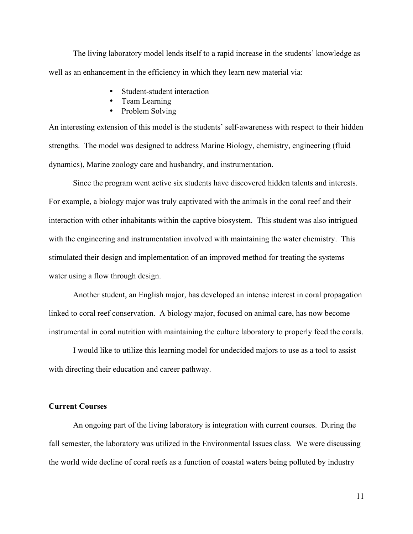The living laboratory model lends itself to a rapid increase in the students' knowledge as well as an enhancement in the efficiency in which they learn new material via:

- Student-student interaction
- Team Learning
- Problem Solving

An interesting extension of this model is the students' self-awareness with respect to their hidden strengths. The model was designed to address Marine Biology, chemistry, engineering (fluid dynamics), Marine zoology care and husbandry, and instrumentation.

Since the program went active six students have discovered hidden talents and interests. For example, a biology major was truly captivated with the animals in the coral reef and their interaction with other inhabitants within the captive biosystem. This student was also intrigued with the engineering and instrumentation involved with maintaining the water chemistry. This stimulated their design and implementation of an improved method for treating the systems water using a flow through design.

Another student, an English major, has developed an intense interest in coral propagation linked to coral reef conservation. A biology major, focused on animal care, has now become instrumental in coral nutrition with maintaining the culture laboratory to properly feed the corals.

I would like to utilize this learning model for undecided majors to use as a tool to assist with directing their education and career pathway.

#### **Current Courses**

An ongoing part of the living laboratory is integration with current courses. During the fall semester, the laboratory was utilized in the Environmental Issues class. We were discussing the world wide decline of coral reefs as a function of coastal waters being polluted by industry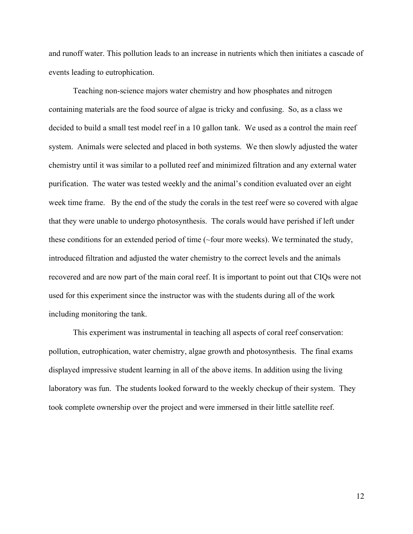and runoff water. This pollution leads to an increase in nutrients which then initiates a cascade of events leading to eutrophication.

Teaching non-science majors water chemistry and how phosphates and nitrogen containing materials are the food source of algae is tricky and confusing. So, as a class we decided to build a small test model reef in a 10 gallon tank. We used as a control the main reef system. Animals were selected and placed in both systems. We then slowly adjusted the water chemistry until it was similar to a polluted reef and minimized filtration and any external water purification. The water was tested weekly and the animal's condition evaluated over an eight week time frame. By the end of the study the corals in the test reef were so covered with algae that they were unable to undergo photosynthesis. The corals would have perished if left under these conditions for an extended period of time (~four more weeks). We terminated the study, introduced filtration and adjusted the water chemistry to the correct levels and the animals recovered and are now part of the main coral reef. It is important to point out that CIQs were not used for this experiment since the instructor was with the students during all of the work including monitoring the tank.

This experiment was instrumental in teaching all aspects of coral reef conservation: pollution, eutrophication, water chemistry, algae growth and photosynthesis. The final exams displayed impressive student learning in all of the above items. In addition using the living laboratory was fun. The students looked forward to the weekly checkup of their system. They took complete ownership over the project and were immersed in their little satellite reef.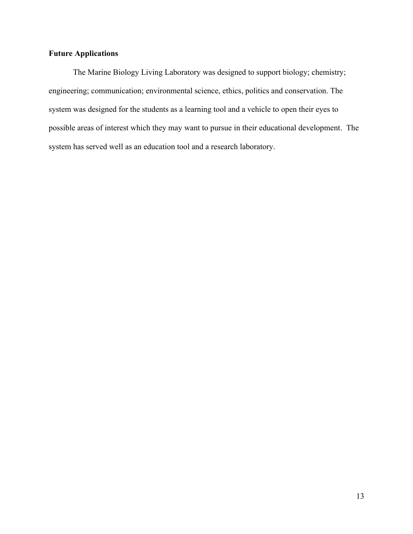# **Future Applications**

The Marine Biology Living Laboratory was designed to support biology; chemistry; engineering; communication; environmental science, ethics, politics and conservation. The system was designed for the students as a learning tool and a vehicle to open their eyes to possible areas of interest which they may want to pursue in their educational development. The system has served well as an education tool and a research laboratory.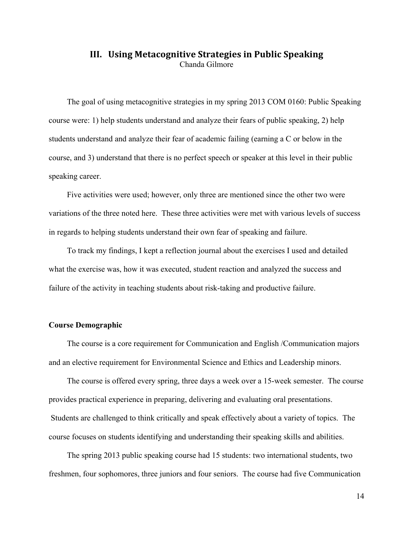# **III.** Using Metacognitive Strategies in Public Speaking Chanda Gilmore

The goal of using metacognitive strategies in my spring 2013 COM 0160: Public Speaking course were: 1) help students understand and analyze their fears of public speaking, 2) help students understand and analyze their fear of academic failing (earning a C or below in the course, and 3) understand that there is no perfect speech or speaker at this level in their public speaking career.

Five activities were used; however, only three are mentioned since the other two were variations of the three noted here. These three activities were met with various levels of success in regards to helping students understand their own fear of speaking and failure.

To track my findings, I kept a reflection journal about the exercises I used and detailed what the exercise was, how it was executed, student reaction and analyzed the success and failure of the activity in teaching students about risk-taking and productive failure.

#### **Course Demographic**

The course is a core requirement for Communication and English /Communication majors and an elective requirement for Environmental Science and Ethics and Leadership minors.

The course is offered every spring, three days a week over a 15-week semester. The course provides practical experience in preparing, delivering and evaluating oral presentations. Students are challenged to think critically and speak effectively about a variety of topics. The course focuses on students identifying and understanding their speaking skills and abilities.

The spring 2013 public speaking course had 15 students: two international students, two freshmen, four sophomores, three juniors and four seniors. The course had five Communication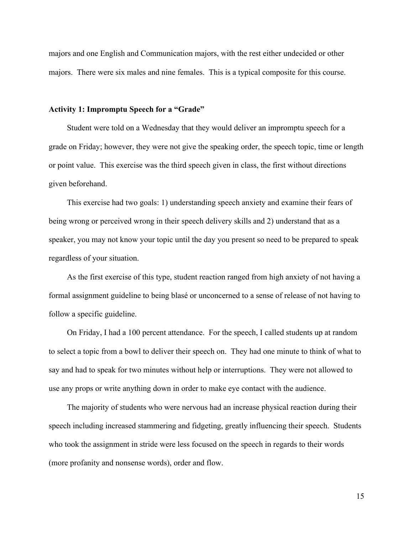majors and one English and Communication majors, with the rest either undecided or other majors. There were six males and nine females. This is a typical composite for this course.

### **Activity 1: Impromptu Speech for a "Grade"**

Student were told on a Wednesday that they would deliver an impromptu speech for a grade on Friday; however, they were not give the speaking order, the speech topic, time or length or point value. This exercise was the third speech given in class, the first without directions given beforehand.

This exercise had two goals: 1) understanding speech anxiety and examine their fears of being wrong or perceived wrong in their speech delivery skills and 2) understand that as a speaker, you may not know your topic until the day you present so need to be prepared to speak regardless of your situation.

As the first exercise of this type, student reaction ranged from high anxiety of not having a formal assignment guideline to being blasé or unconcerned to a sense of release of not having to follow a specific guideline.

On Friday, I had a 100 percent attendance. For the speech, I called students up at random to select a topic from a bowl to deliver their speech on. They had one minute to think of what to say and had to speak for two minutes without help or interruptions. They were not allowed to use any props or write anything down in order to make eye contact with the audience.

The majority of students who were nervous had an increase physical reaction during their speech including increased stammering and fidgeting, greatly influencing their speech. Students who took the assignment in stride were less focused on the speech in regards to their words (more profanity and nonsense words), order and flow.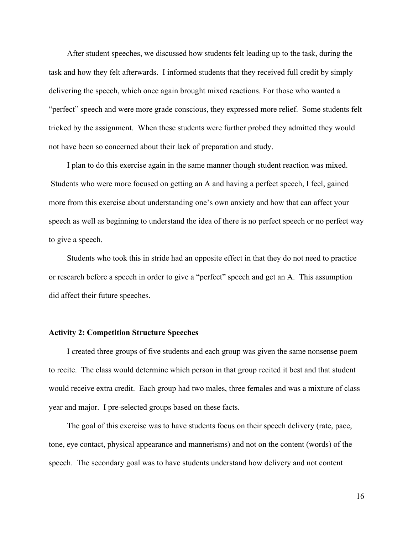After student speeches, we discussed how students felt leading up to the task, during the task and how they felt afterwards. I informed students that they received full credit by simply delivering the speech, which once again brought mixed reactions. For those who wanted a "perfect" speech and were more grade conscious, they expressed more relief. Some students felt tricked by the assignment. When these students were further probed they admitted they would not have been so concerned about their lack of preparation and study.

I plan to do this exercise again in the same manner though student reaction was mixed. Students who were more focused on getting an A and having a perfect speech, I feel, gained more from this exercise about understanding one's own anxiety and how that can affect your speech as well as beginning to understand the idea of there is no perfect speech or no perfect way to give a speech.

Students who took this in stride had an opposite effect in that they do not need to practice or research before a speech in order to give a "perfect" speech and get an A. This assumption did affect their future speeches.

#### **Activity 2: Competition Structure Speeches**

I created three groups of five students and each group was given the same nonsense poem to recite. The class would determine which person in that group recited it best and that student would receive extra credit. Each group had two males, three females and was a mixture of class year and major. I pre-selected groups based on these facts.

The goal of this exercise was to have students focus on their speech delivery (rate, pace, tone, eye contact, physical appearance and mannerisms) and not on the content (words) of the speech. The secondary goal was to have students understand how delivery and not content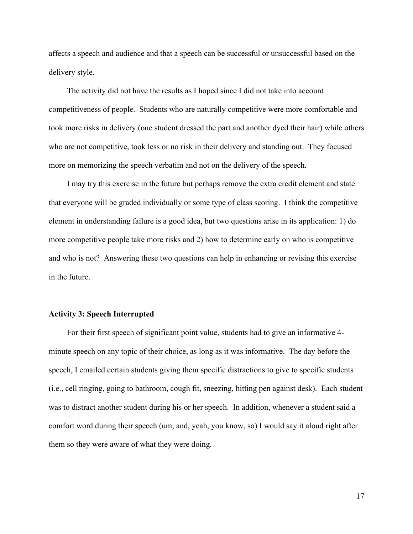affects a speech and audience and that a speech can be successful or unsuccessful based on the delivery style.

The activity did not have the results as I hoped since I did not take into account competitiveness of people. Students who are naturally competitive were more comfortable and took more risks in delivery (one student dressed the part and another dyed their hair) while others who are not competitive, took less or no risk in their delivery and standing out. They focused more on memorizing the speech verbatim and not on the delivery of the speech.

I may try this exercise in the future but perhaps remove the extra credit element and state that everyone will be graded individually or some type of class scoring. I think the competitive element in understanding failure is a good idea, but two questions arise in its application: 1) do more competitive people take more risks and 2) how to determine early on who is competitive and who is not? Answering these two questions can help in enhancing or revising this exercise in the future.

#### **Activity 3: Speech Interrupted**

For their first speech of significant point value, students had to give an informative 4 minute speech on any topic of their choice, as long as it was informative. The day before the speech, I emailed certain students giving them specific distractions to give to specific students (i.e., cell ringing, going to bathroom, cough fit, sneezing, hitting pen against desk). Each student was to distract another student during his or her speech. In addition, whenever a student said a comfort word during their speech (um, and, yeah, you know, so) I would say it aloud right after them so they were aware of what they were doing.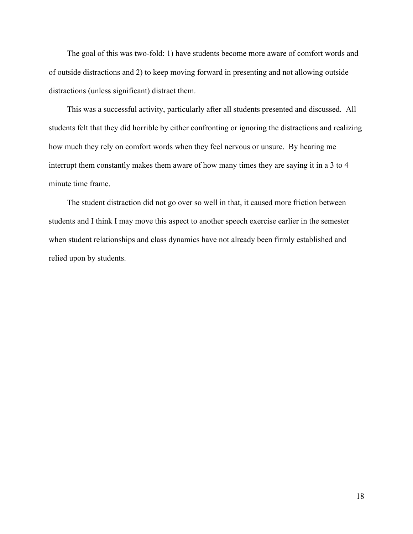The goal of this was two-fold: 1) have students become more aware of comfort words and of outside distractions and 2) to keep moving forward in presenting and not allowing outside distractions (unless significant) distract them.

This was a successful activity, particularly after all students presented and discussed. All students felt that they did horrible by either confronting or ignoring the distractions and realizing how much they rely on comfort words when they feel nervous or unsure. By hearing me interrupt them constantly makes them aware of how many times they are saying it in a 3 to 4 minute time frame.

The student distraction did not go over so well in that, it caused more friction between students and I think I may move this aspect to another speech exercise earlier in the semester when student relationships and class dynamics have not already been firmly established and relied upon by students.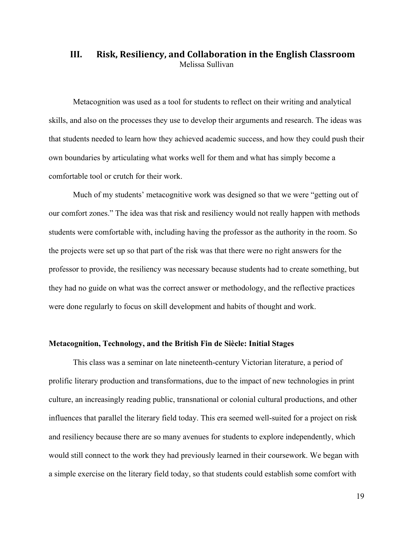# **III.** Risk, Resiliency, and Collaboration in the English Classroom Melissa Sullivan

Metacognition was used as a tool for students to reflect on their writing and analytical skills, and also on the processes they use to develop their arguments and research. The ideas was that students needed to learn how they achieved academic success, and how they could push their own boundaries by articulating what works well for them and what has simply become a comfortable tool or crutch for their work.

Much of my students' metacognitive work was designed so that we were "getting out of our comfort zones." The idea was that risk and resiliency would not really happen with methods students were comfortable with, including having the professor as the authority in the room. So the projects were set up so that part of the risk was that there were no right answers for the professor to provide, the resiliency was necessary because students had to create something, but they had no guide on what was the correct answer or methodology, and the reflective practices were done regularly to focus on skill development and habits of thought and work.

#### **Metacognition, Technology, and the British Fin de Siècle: Initial Stages**

This class was a seminar on late nineteenth-century Victorian literature, a period of prolific literary production and transformations, due to the impact of new technologies in print culture, an increasingly reading public, transnational or colonial cultural productions, and other influences that parallel the literary field today. This era seemed well-suited for a project on risk and resiliency because there are so many avenues for students to explore independently, which would still connect to the work they had previously learned in their coursework. We began with a simple exercise on the literary field today, so that students could establish some comfort with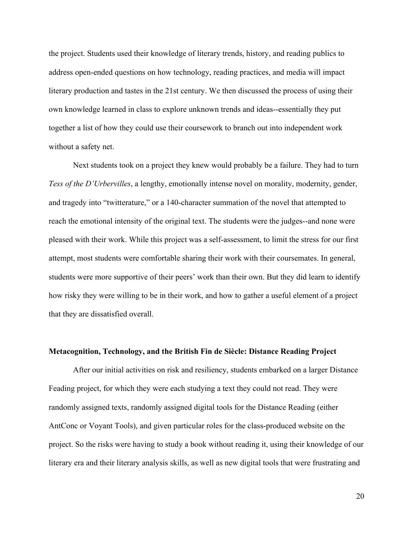the project. Students used their knowledge of literary trends, history, and reading publics to address open-ended questions on how technology, reading practices, and media will impact literary production and tastes in the 21st century. We then discussed the process of using their own knowledge learned in class to explore unknown trends and ideas--essentially they put together a list of how they could use their coursework to branch out into independent work without a safety net.

Next students took on a project they knew would probably be a failure. They had to turn *Tess of the D'Urbervilles*, a lengthy, emotionally intense novel on morality, modernity, gender, and tragedy into "twitterature," or a 140-character summation of the novel that attempted to reach the emotional intensity of the original text. The students were the judges--and none were pleased with their work. While this project was a self-assessment, to limit the stress for our first attempt, most students were comfortable sharing their work with their coursemates. In general, students were more supportive of their peers' work than their own. But they did learn to identify how risky they were willing to be in their work, and how to gather a useful element of a project that they are dissatisfied overall.

#### **Metacognition, Technology, and the British Fin de Siècle: Distance Reading Project**

After our initial activities on risk and resiliency, students embarked on a larger Distance Feading project, for which they were each studying a text they could not read. They were randomly assigned texts, randomly assigned digital tools for the Distance Reading (either AntConc or Voyant Tools), and given particular roles for the class-produced website on the project. So the risks were having to study a book without reading it, using their knowledge of our literary era and their literary analysis skills, as well as new digital tools that were frustrating and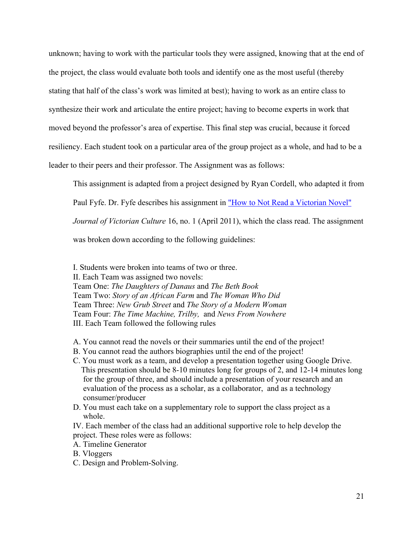unknown; having to work with the particular tools they were assigned, knowing that at the end of the project, the class would evaluate both tools and identify one as the most useful (thereby stating that half of the class's work was limited at best); having to work as an entire class to synthesize their work and articulate the entire project; having to become experts in work that moved beyond the professor's area of expertise. This final step was crucial, because it forced resiliency. Each student took on a particular area of the group project as a whole, and had to be a leader to their peers and their professor. The Assignment was as follows:

This assignment is adapted from a project designed by Ryan Cordell, who adapted it from

Paul Fyfe. Dr. Fyfe describes his assignment in "How to Not Read a Victorian Novel"

*Journal of Victorian Culture* 16, no. 1 (April 2011), which the class read. The assignment

was broken down according to the following guidelines:

I. Students were broken into teams of two or three.

II. Each Team was assigned two novels:

Team One: *The Daughters of Danaus* and *The Beth Book* Team Two: *Story of an African Farm* and *The Woman Who Did* Team Three: *New Grub Street* and *The Story of a Modern Woman* Team Four: *The Time Machine, Trilby,* and *News From Nowhere* III. Each Team followed the following rules

- A. You cannot read the novels or their summaries until the end of the project!
- B. You cannot read the authors biographies until the end of the project!
- C. You must work as a team, and develop a presentation together using Google Drive. This presentation should be 8-10 minutes long for groups of 2, and 12-14 minutes long for the group of three, and should include a presentation of your research and an evaluation of the process as a scholar, as a collaborator, and as a technology consumer/producer
- D. You must each take on a supplementary role to support the class project as a whole.

IV. Each member of the class had an additional supportive role to help develop the project. These roles were as follows:

- A. Timeline Generator
- B. Vloggers
- C. Design and Problem-Solving.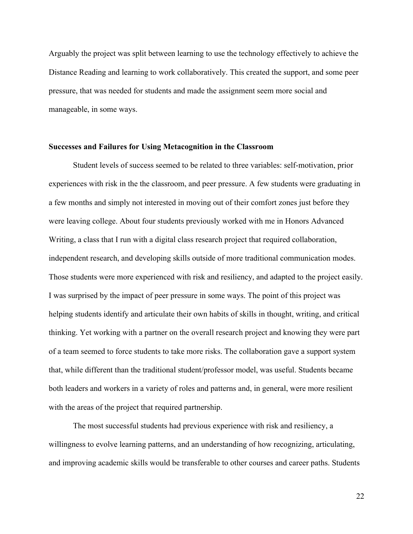Arguably the project was split between learning to use the technology effectively to achieve the Distance Reading and learning to work collaboratively. This created the support, and some peer pressure, that was needed for students and made the assignment seem more social and manageable, in some ways.

#### **Successes and Failures for Using Metacognition in the Classroom**

Student levels of success seemed to be related to three variables: self-motivation, prior experiences with risk in the the classroom, and peer pressure. A few students were graduating in a few months and simply not interested in moving out of their comfort zones just before they were leaving college. About four students previously worked with me in Honors Advanced Writing, a class that I run with a digital class research project that required collaboration, independent research, and developing skills outside of more traditional communication modes. Those students were more experienced with risk and resiliency, and adapted to the project easily. I was surprised by the impact of peer pressure in some ways. The point of this project was helping students identify and articulate their own habits of skills in thought, writing, and critical thinking. Yet working with a partner on the overall research project and knowing they were part of a team seemed to force students to take more risks. The collaboration gave a support system that, while different than the traditional student/professor model, was useful. Students became both leaders and workers in a variety of roles and patterns and, in general, were more resilient with the areas of the project that required partnership.

The most successful students had previous experience with risk and resiliency, a willingness to evolve learning patterns, and an understanding of how recognizing, articulating, and improving academic skills would be transferable to other courses and career paths. Students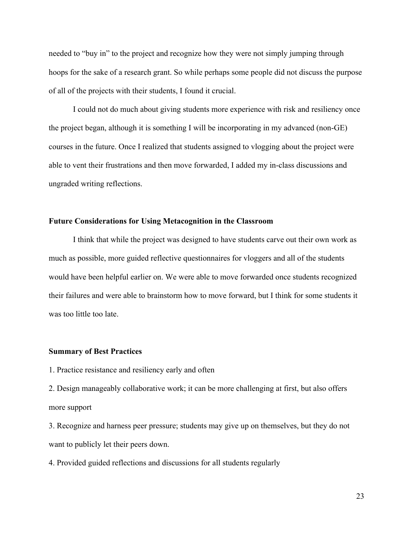needed to "buy in" to the project and recognize how they were not simply jumping through hoops for the sake of a research grant. So while perhaps some people did not discuss the purpose of all of the projects with their students, I found it crucial.

I could not do much about giving students more experience with risk and resiliency once the project began, although it is something I will be incorporating in my advanced (non-GE) courses in the future. Once I realized that students assigned to vlogging about the project were able to vent their frustrations and then move forwarded, I added my in-class discussions and ungraded writing reflections.

### **Future Considerations for Using Metacognition in the Classroom**

I think that while the project was designed to have students carve out their own work as much as possible, more guided reflective questionnaires for vloggers and all of the students would have been helpful earlier on. We were able to move forwarded once students recognized their failures and were able to brainstorm how to move forward, but I think for some students it was too little too late.

#### **Summary of Best Practices**

1. Practice resistance and resiliency early and often

2. Design manageably collaborative work; it can be more challenging at first, but also offers more support

3. Recognize and harness peer pressure; students may give up on themselves, but they do not want to publicly let their peers down.

4. Provided guided reflections and discussions for all students regularly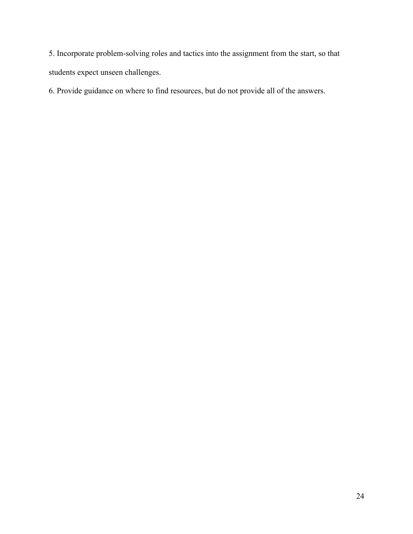5. Incorporate problem-solving roles and tactics into the assignment from the start, so that students expect unseen challenges.

6. Provide guidance on where to find resources, but do not provide all of the answers.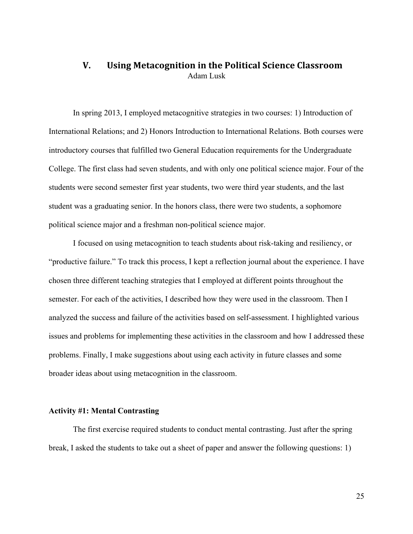# **V.** Using Metacognition in the Political Science Classroom Adam Lusk

In spring 2013, I employed metacognitive strategies in two courses: 1) Introduction of International Relations; and 2) Honors Introduction to International Relations. Both courses were introductory courses that fulfilled two General Education requirements for the Undergraduate College. The first class had seven students, and with only one political science major. Four of the students were second semester first year students, two were third year students, and the last student was a graduating senior. In the honors class, there were two students, a sophomore political science major and a freshman non-political science major.

I focused on using metacognition to teach students about risk-taking and resiliency, or "productive failure." To track this process, I kept a reflection journal about the experience. I have chosen three different teaching strategies that I employed at different points throughout the semester. For each of the activities, I described how they were used in the classroom. Then I analyzed the success and failure of the activities based on self-assessment. I highlighted various issues and problems for implementing these activities in the classroom and how I addressed these problems. Finally, I make suggestions about using each activity in future classes and some broader ideas about using metacognition in the classroom.

### **Activity #1: Mental Contrasting**

The first exercise required students to conduct mental contrasting. Just after the spring break, I asked the students to take out a sheet of paper and answer the following questions: 1)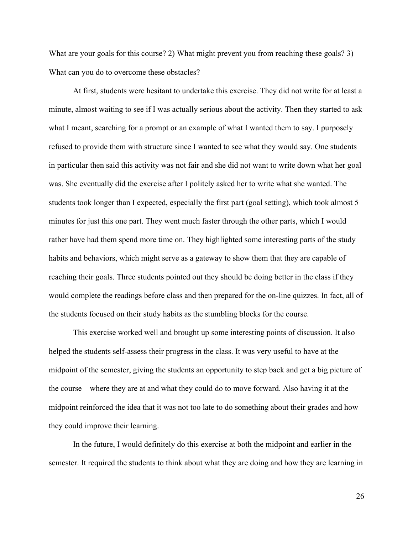What are your goals for this course? 2) What might prevent you from reaching these goals? 3) What can you do to overcome these obstacles?

At first, students were hesitant to undertake this exercise. They did not write for at least a minute, almost waiting to see if I was actually serious about the activity. Then they started to ask what I meant, searching for a prompt or an example of what I wanted them to say. I purposely refused to provide them with structure since I wanted to see what they would say. One students in particular then said this activity was not fair and she did not want to write down what her goal was. She eventually did the exercise after I politely asked her to write what she wanted. The students took longer than I expected, especially the first part (goal setting), which took almost 5 minutes for just this one part. They went much faster through the other parts, which I would rather have had them spend more time on. They highlighted some interesting parts of the study habits and behaviors, which might serve as a gateway to show them that they are capable of reaching their goals. Three students pointed out they should be doing better in the class if they would complete the readings before class and then prepared for the on-line quizzes. In fact, all of the students focused on their study habits as the stumbling blocks for the course.

This exercise worked well and brought up some interesting points of discussion. It also helped the students self-assess their progress in the class. It was very useful to have at the midpoint of the semester, giving the students an opportunity to step back and get a big picture of the course – where they are at and what they could do to move forward. Also having it at the midpoint reinforced the idea that it was not too late to do something about their grades and how they could improve their learning.

In the future, I would definitely do this exercise at both the midpoint and earlier in the semester. It required the students to think about what they are doing and how they are learning in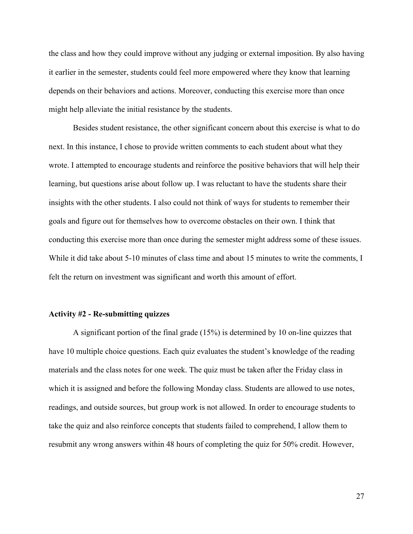the class and how they could improve without any judging or external imposition. By also having it earlier in the semester, students could feel more empowered where they know that learning depends on their behaviors and actions. Moreover, conducting this exercise more than once might help alleviate the initial resistance by the students.

Besides student resistance, the other significant concern about this exercise is what to do next. In this instance, I chose to provide written comments to each student about what they wrote. I attempted to encourage students and reinforce the positive behaviors that will help their learning, but questions arise about follow up. I was reluctant to have the students share their insights with the other students. I also could not think of ways for students to remember their goals and figure out for themselves how to overcome obstacles on their own. I think that conducting this exercise more than once during the semester might address some of these issues. While it did take about 5-10 minutes of class time and about 15 minutes to write the comments, I felt the return on investment was significant and worth this amount of effort.

#### **Activity #2 - Re-submitting quizzes**

A significant portion of the final grade (15%) is determined by 10 on-line quizzes that have 10 multiple choice questions. Each quiz evaluates the student's knowledge of the reading materials and the class notes for one week. The quiz must be taken after the Friday class in which it is assigned and before the following Monday class. Students are allowed to use notes, readings, and outside sources, but group work is not allowed. In order to encourage students to take the quiz and also reinforce concepts that students failed to comprehend, I allow them to resubmit any wrong answers within 48 hours of completing the quiz for 50% credit. However,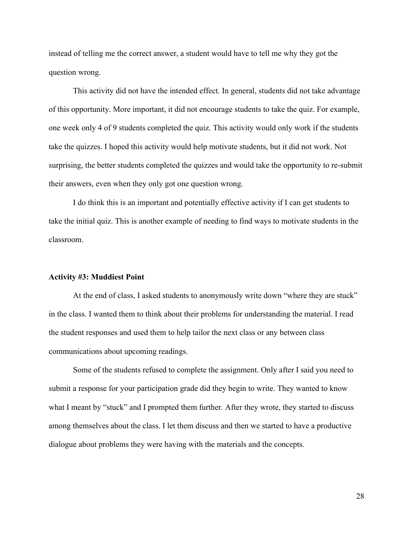instead of telling me the correct answer, a student would have to tell me why they got the question wrong.

This activity did not have the intended effect. In general, students did not take advantage of this opportunity. More important, it did not encourage students to take the quiz. For example, one week only 4 of 9 students completed the quiz. This activity would only work if the students take the quizzes. I hoped this activity would help motivate students, but it did not work. Not surprising, the better students completed the quizzes and would take the opportunity to re-submit their answers, even when they only got one question wrong.

I do think this is an important and potentially effective activity if I can get students to take the initial quiz. This is another example of needing to find ways to motivate students in the classroom.

#### **Activity #3: Muddiest Point**

At the end of class, I asked students to anonymously write down "where they are stuck" in the class. I wanted them to think about their problems for understanding the material. I read the student responses and used them to help tailor the next class or any between class communications about upcoming readings.

Some of the students refused to complete the assignment. Only after I said you need to submit a response for your participation grade did they begin to write. They wanted to know what I meant by "stuck" and I prompted them further. After they wrote, they started to discuss among themselves about the class. I let them discuss and then we started to have a productive dialogue about problems they were having with the materials and the concepts.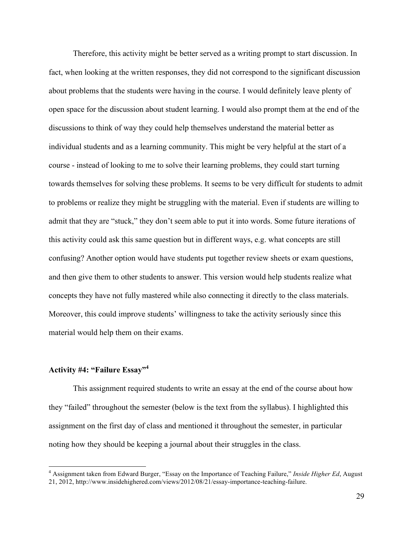Therefore, this activity might be better served as a writing prompt to start discussion. In fact, when looking at the written responses, they did not correspond to the significant discussion about problems that the students were having in the course. I would definitely leave plenty of open space for the discussion about student learning. I would also prompt them at the end of the discussions to think of way they could help themselves understand the material better as individual students and as a learning community. This might be very helpful at the start of a course - instead of looking to me to solve their learning problems, they could start turning towards themselves for solving these problems. It seems to be very difficult for students to admit to problems or realize they might be struggling with the material. Even if students are willing to admit that they are "stuck," they don't seem able to put it into words. Some future iterations of this activity could ask this same question but in different ways, e.g. what concepts are still confusing? Another option would have students put together review sheets or exam questions, and then give them to other students to answer. This version would help students realize what concepts they have not fully mastered while also connecting it directly to the class materials. Moreover, this could improve students' willingness to take the activity seriously since this material would help them on their exams.

### **Activity #4: "Failure Essay"4**

This assignment required students to write an essay at the end of the course about how they "failed" throughout the semester (below is the text from the syllabus). I highlighted this assignment on the first day of class and mentioned it throughout the semester, in particular noting how they should be keeping a journal about their struggles in the class.

 <sup>4</sup> Assignment taken from Edward Burger, "Essay on the Importance of Teaching Failure," *Inside Higher Ed*, August 21, 2012, http://www.insidehighered.com/views/2012/08/21/essay-importance-teaching-failure.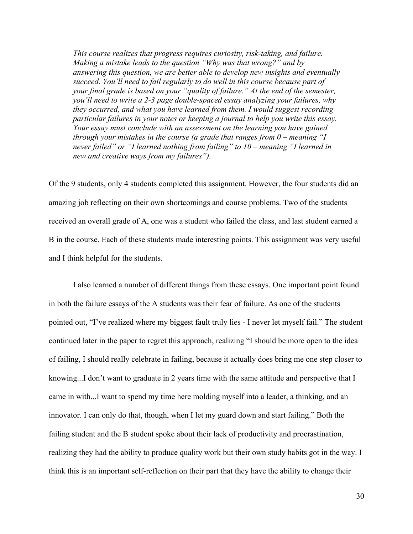*This course realizes that progress requires curiosity, risk-taking, and failure. Making a mistake leads to the question "Why was that wrong?" and by answering this question, we are better able to develop new insights and eventually succeed. You'll need to fail regularly to do well in this course because part of your final grade is based on your "quality of failure." At the end of the semester, you'll need to write a 2-3 page double-spaced essay analyzing your failures, why they occurred, and what you have learned from them. I would suggest recording particular failures in your notes or keeping a journal to help you write this essay. Your essay must conclude with an assessment on the learning you have gained through your mistakes in the course (a grade that ranges from 0 – meaning "I never failed" or "I learned nothing from failing" to 10 – meaning "I learned in new and creative ways from my failures").*

Of the 9 students, only 4 students completed this assignment. However, the four students did an amazing job reflecting on their own shortcomings and course problems. Two of the students received an overall grade of A, one was a student who failed the class, and last student earned a B in the course. Each of these students made interesting points. This assignment was very useful and I think helpful for the students.

I also learned a number of different things from these essays. One important point found in both the failure essays of the A students was their fear of failure. As one of the students pointed out, "I've realized where my biggest fault truly lies - I never let myself fail." The student continued later in the paper to regret this approach, realizing "I should be more open to the idea of failing, I should really celebrate in failing, because it actually does bring me one step closer to knowing...I don't want to graduate in 2 years time with the same attitude and perspective that I came in with...I want to spend my time here molding myself into a leader, a thinking, and an innovator. I can only do that, though, when I let my guard down and start failing." Both the failing student and the B student spoke about their lack of productivity and procrastination, realizing they had the ability to produce quality work but their own study habits got in the way. I think this is an important self-reflection on their part that they have the ability to change their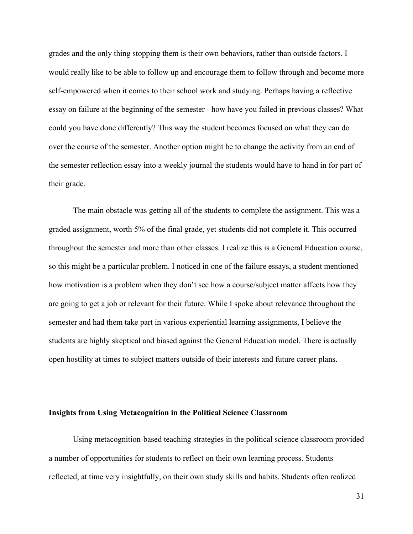grades and the only thing stopping them is their own behaviors, rather than outside factors. I would really like to be able to follow up and encourage them to follow through and become more self-empowered when it comes to their school work and studying. Perhaps having a reflective essay on failure at the beginning of the semester - how have you failed in previous classes? What could you have done differently? This way the student becomes focused on what they can do over the course of the semester. Another option might be to change the activity from an end of the semester reflection essay into a weekly journal the students would have to hand in for part of their grade.

The main obstacle was getting all of the students to complete the assignment. This was a graded assignment, worth 5% of the final grade, yet students did not complete it. This occurred throughout the semester and more than other classes. I realize this is a General Education course, so this might be a particular problem. I noticed in one of the failure essays, a student mentioned how motivation is a problem when they don't see how a course/subject matter affects how they are going to get a job or relevant for their future. While I spoke about relevance throughout the semester and had them take part in various experiential learning assignments, I believe the students are highly skeptical and biased against the General Education model. There is actually open hostility at times to subject matters outside of their interests and future career plans.

#### **Insights from Using Metacognition in the Political Science Classroom**

Using metacognition-based teaching strategies in the political science classroom provided a number of opportunities for students to reflect on their own learning process. Students reflected, at time very insightfully, on their own study skills and habits. Students often realized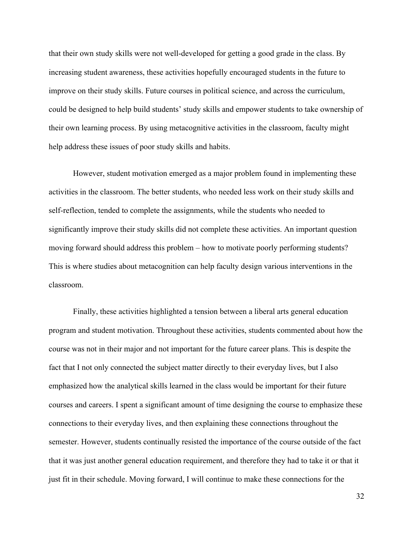that their own study skills were not well-developed for getting a good grade in the class. By increasing student awareness, these activities hopefully encouraged students in the future to improve on their study skills. Future courses in political science, and across the curriculum, could be designed to help build students' study skills and empower students to take ownership of their own learning process. By using metacognitive activities in the classroom, faculty might help address these issues of poor study skills and habits.

However, student motivation emerged as a major problem found in implementing these activities in the classroom. The better students, who needed less work on their study skills and self-reflection, tended to complete the assignments, while the students who needed to significantly improve their study skills did not complete these activities. An important question moving forward should address this problem – how to motivate poorly performing students? This is where studies about metacognition can help faculty design various interventions in the classroom.

Finally, these activities highlighted a tension between a liberal arts general education program and student motivation. Throughout these activities, students commented about how the course was not in their major and not important for the future career plans. This is despite the fact that I not only connected the subject matter directly to their everyday lives, but I also emphasized how the analytical skills learned in the class would be important for their future courses and careers. I spent a significant amount of time designing the course to emphasize these connections to their everyday lives, and then explaining these connections throughout the semester. However, students continually resisted the importance of the course outside of the fact that it was just another general education requirement, and therefore they had to take it or that it just fit in their schedule. Moving forward, I will continue to make these connections for the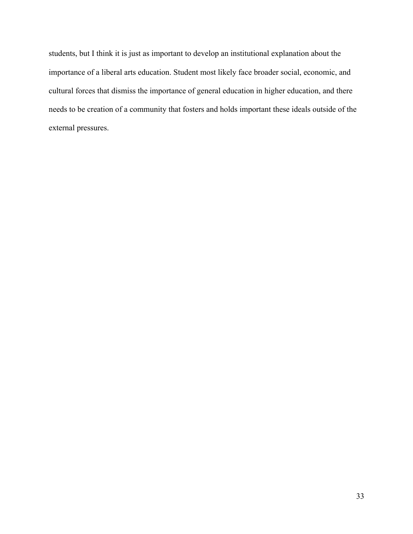students, but I think it is just as important to develop an institutional explanation about the importance of a liberal arts education. Student most likely face broader social, economic, and cultural forces that dismiss the importance of general education in higher education, and there needs to be creation of a community that fosters and holds important these ideals outside of the external pressures.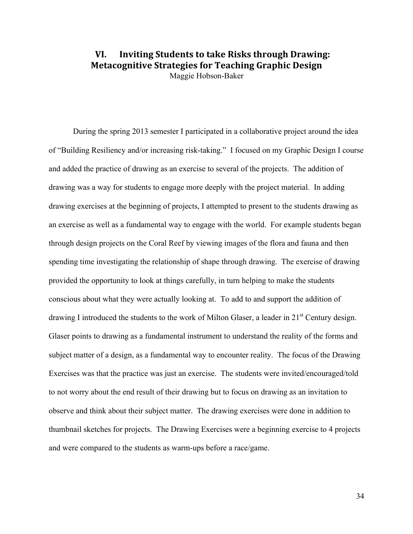# **VI.** Inviting Students to take Risks through Drawing: **Metacognitive Strategies for Teaching Graphic Design** Maggie Hobson-Baker

During the spring 2013 semester I participated in a collaborative project around the idea of "Building Resiliency and/or increasing risk-taking." I focused on my Graphic Design I course and added the practice of drawing as an exercise to several of the projects. The addition of drawing was a way for students to engage more deeply with the project material. In adding drawing exercises at the beginning of projects, I attempted to present to the students drawing as an exercise as well as a fundamental way to engage with the world. For example students began through design projects on the Coral Reef by viewing images of the flora and fauna and then spending time investigating the relationship of shape through drawing. The exercise of drawing provided the opportunity to look at things carefully, in turn helping to make the students conscious about what they were actually looking at. To add to and support the addition of drawing I introduced the students to the work of Milton Glaser, a leader in 21<sup>st</sup> Century design. Glaser points to drawing as a fundamental instrument to understand the reality of the forms and subject matter of a design, as a fundamental way to encounter reality. The focus of the Drawing Exercises was that the practice was just an exercise. The students were invited/encouraged/told to not worry about the end result of their drawing but to focus on drawing as an invitation to observe and think about their subject matter. The drawing exercises were done in addition to thumbnail sketches for projects. The Drawing Exercises were a beginning exercise to 4 projects and were compared to the students as warm-ups before a race/game.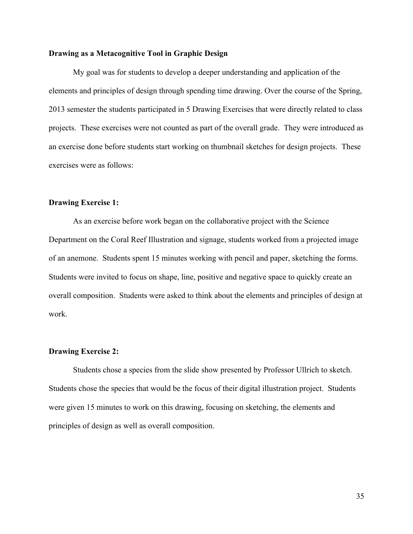#### **Drawing as a Metacognitive Tool in Graphic Design**

My goal was for students to develop a deeper understanding and application of the elements and principles of design through spending time drawing. Over the course of the Spring, 2013 semester the students participated in 5 Drawing Exercises that were directly related to class projects. These exercises were not counted as part of the overall grade. They were introduced as an exercise done before students start working on thumbnail sketches for design projects. These exercises were as follows:

#### **Drawing Exercise 1:**

As an exercise before work began on the collaborative project with the Science Department on the Coral Reef Illustration and signage, students worked from a projected image of an anemone. Students spent 15 minutes working with pencil and paper, sketching the forms. Students were invited to focus on shape, line, positive and negative space to quickly create an overall composition. Students were asked to think about the elements and principles of design at work.

#### **Drawing Exercise 2:**

Students chose a species from the slide show presented by Professor Ullrich to sketch. Students chose the species that would be the focus of their digital illustration project. Students were given 15 minutes to work on this drawing, focusing on sketching, the elements and principles of design as well as overall composition.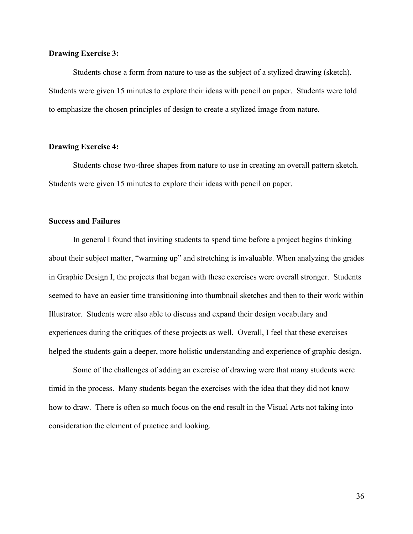#### **Drawing Exercise 3:**

Students chose a form from nature to use as the subject of a stylized drawing (sketch). Students were given 15 minutes to explore their ideas with pencil on paper. Students were told to emphasize the chosen principles of design to create a stylized image from nature.

#### **Drawing Exercise 4:**

Students chose two-three shapes from nature to use in creating an overall pattern sketch. Students were given 15 minutes to explore their ideas with pencil on paper.

#### **Success and Failures**

In general I found that inviting students to spend time before a project begins thinking about their subject matter, "warming up" and stretching is invaluable. When analyzing the grades in Graphic Design I, the projects that began with these exercises were overall stronger. Students seemed to have an easier time transitioning into thumbnail sketches and then to their work within Illustrator. Students were also able to discuss and expand their design vocabulary and experiences during the critiques of these projects as well. Overall, I feel that these exercises helped the students gain a deeper, more holistic understanding and experience of graphic design.

Some of the challenges of adding an exercise of drawing were that many students were timid in the process. Many students began the exercises with the idea that they did not know how to draw. There is often so much focus on the end result in the Visual Arts not taking into consideration the element of practice and looking.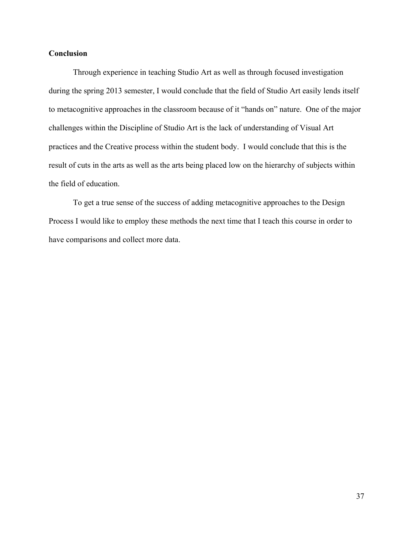### **Conclusion**

Through experience in teaching Studio Art as well as through focused investigation during the spring 2013 semester, I would conclude that the field of Studio Art easily lends itself to metacognitive approaches in the classroom because of it "hands on" nature. One of the major challenges within the Discipline of Studio Art is the lack of understanding of Visual Art practices and the Creative process within the student body. I would conclude that this is the result of cuts in the arts as well as the arts being placed low on the hierarchy of subjects within the field of education.

To get a true sense of the success of adding metacognitive approaches to the Design Process I would like to employ these methods the next time that I teach this course in order to have comparisons and collect more data.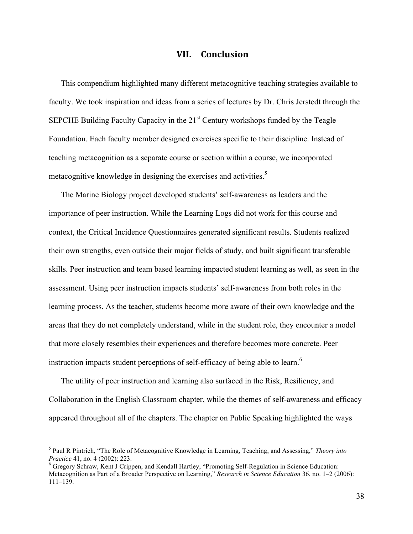# **VII. Conclusion**

This compendium highlighted many different metacognitive teaching strategies available to faculty. We took inspiration and ideas from a series of lectures by Dr. Chris Jerstedt through the SEPCHE Building Faculty Capacity in the  $21<sup>st</sup>$  Century workshops funded by the Teagle Foundation. Each faculty member designed exercises specific to their discipline. Instead of teaching metacognition as a separate course or section within a course, we incorporated metacognitive knowledge in designing the exercises and activities.<sup>5</sup>

The Marine Biology project developed students' self-awareness as leaders and the importance of peer instruction. While the Learning Logs did not work for this course and context, the Critical Incidence Questionnaires generated significant results. Students realized their own strengths, even outside their major fields of study, and built significant transferable skills. Peer instruction and team based learning impacted student learning as well, as seen in the assessment. Using peer instruction impacts students' self-awareness from both roles in the learning process. As the teacher, students become more aware of their own knowledge and the areas that they do not completely understand, while in the student role, they encounter a model that more closely resembles their experiences and therefore becomes more concrete. Peer instruction impacts student perceptions of self-efficacy of being able to learn.<sup>6</sup>

The utility of peer instruction and learning also surfaced in the Risk, Resiliency, and Collaboration in the English Classroom chapter, while the themes of self-awareness and efficacy appeared throughout all of the chapters. The chapter on Public Speaking highlighted the ways

 <sup>5</sup> Paul R Pintrich, "The Role of Metacognitive Knowledge in Learning, Teaching, and Assessing," *Theory into Practice* 41, no. 4 (2002): 223.<br><sup>6</sup> Gregory Schraw, Kent J Crippen, and Kendall Hartley, "Promoting Self-Regulation in Science Education:

Metacognition as Part of a Broader Perspective on Learning," *Research in Science Education* 36, no. 1–2 (2006): 111–139.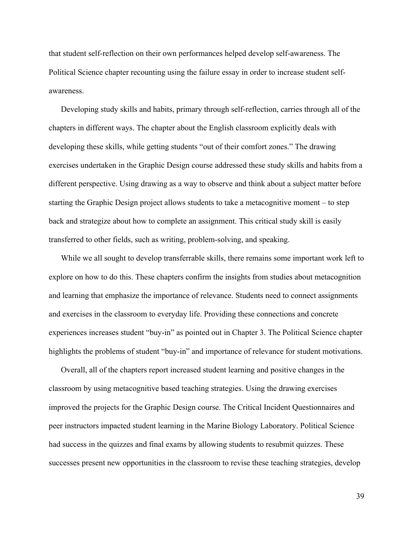that student self-reflection on their own performances helped develop self-awareness. The Political Science chapter recounting using the failure essay in order to increase student selfawareness.

Developing study skills and habits, primary through self-reflection, carries through all of the chapters in different ways. The chapter about the English classroom explicitly deals with developing these skills, while getting students "out of their comfort zones." The drawing exercises undertaken in the Graphic Design course addressed these study skills and habits from a different perspective. Using drawing as a way to observe and think about a subject matter before starting the Graphic Design project allows students to take a metacognitive moment – to step back and strategize about how to complete an assignment. This critical study skill is easily transferred to other fields, such as writing, problem-solving, and speaking.

While we all sought to develop transferrable skills, there remains some important work left to explore on how to do this. These chapters confirm the insights from studies about metacognition and learning that emphasize the importance of relevance. Students need to connect assignments and exercises in the classroom to everyday life. Providing these connections and concrete experiences increases student "buy-in" as pointed out in Chapter 3. The Political Science chapter highlights the problems of student "buy-in" and importance of relevance for student motivations.

Overall, all of the chapters report increased student learning and positive changes in the classroom by using metacognitive based teaching strategies. Using the drawing exercises improved the projects for the Graphic Design course. The Critical Incident Questionnaires and peer instructors impacted student learning in the Marine Biology Laboratory. Political Science had success in the quizzes and final exams by allowing students to resubmit quizzes. These successes present new opportunities in the classroom to revise these teaching strategies, develop